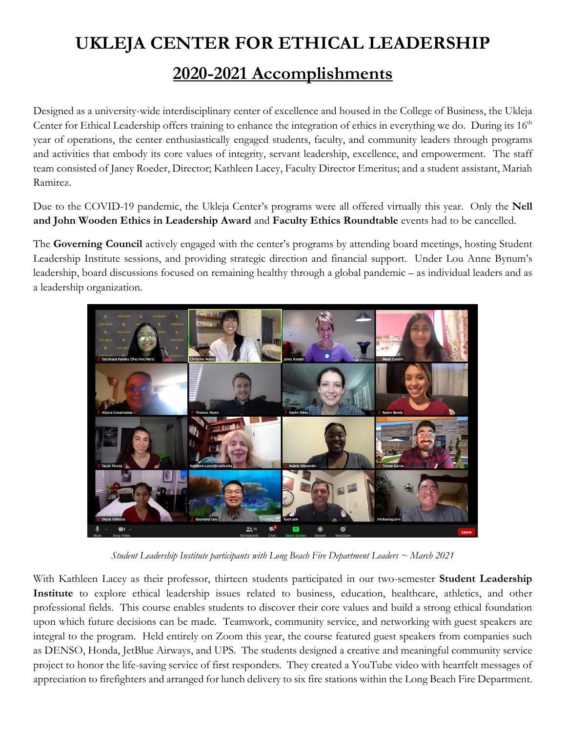## **UKLEJA CENTER FOR ETHICAL LEADERSHIP**

## **2020-2021 Accomplishments**

Designed as a university-wide interdisciplinary center of excellence and housed in the College of Business, the Ukleja Center for Ethical Leadership offers training to enhance the integration of ethics in everything we do. During its 16<sup>th</sup> year of operations, the center enthusiastically engaged students, faculty, and community leaders through programs and activities that embody its core values of integrity, servant leadership, excellence, and empowerment. The staff team consisted of Janey Roeder, Director; Kathleen Lacey, Faculty Director Emeritus; and a student assistant, Mariah Ramirez.

Due to the COVID-19 pandemic, the Ukleja Center's programs were all offered virtually this year. Only the **Nell and John Wooden Ethics in Leadership Award** and **Faculty Ethics Roundtable** events had to be cancelled.

The **Governing Council** actively engaged with the center's programs by attending board meetings, hosting Student Leadership Institute sessions, and providing strategic direction and financial support. Under Lou Anne Bynum's leadership, board discussions focused on remaining healthy through a global pandemic – as individual leaders and as a leadership organization.



*Student Leadership Institute participants with Long Beach Fire Department Leaders ~ March 2021*

With Kathleen Lacey as their professor, thirteen students participated in our two-semester **Student Leadership Institute** to explore ethical leadership issues related to business, education, healthcare, athletics, and other professional fields. This course enables students to discover their core values and build a strong ethical foundation upon which future decisions can be made. Teamwork, community service, and networking with guest speakers are integral to the program. Held entirely on Zoom this year, the course featured guest speakers from companies such as DENSO, Honda, JetBlue Airways, and UPS. The students designed a creative and meaningful community service project to honor the life-saving service of first responders. They created a YouTube video with heartfelt messages of appreciation to firefighters and arranged for lunch delivery to six fire stations within the Long Beach Fire Department.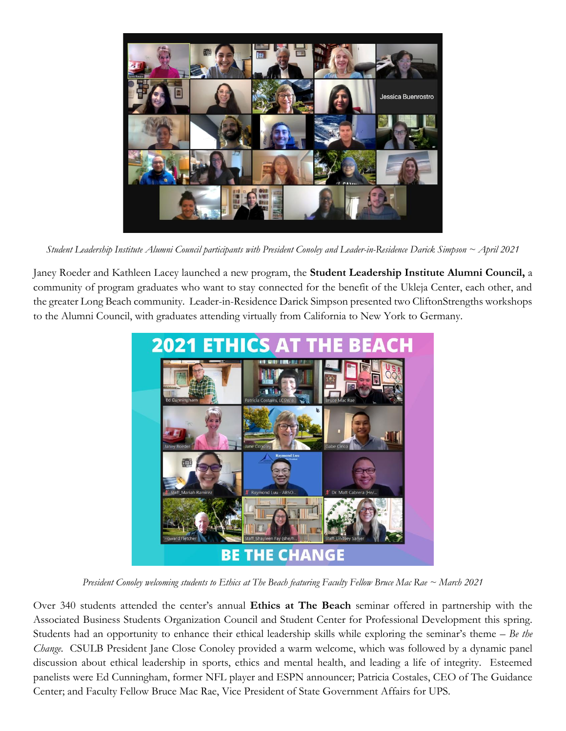

*Student Leadership Institute Alumni Council participants with President Conoley and Leader-in-Residence Darick Simpson ~ April 2021*

Janey Roeder and Kathleen Lacey launched a new program, the **Student Leadership Institute Alumni Council,** a community of program graduates who want to stay connected for the benefit of the Ukleja Center, each other, and the greater Long Beach community. Leader-in-Residence Darick Simpson presented two CliftonStrengths workshops to the Alumni Council, with graduates attending virtually from California to New York to Germany.



*President Conoley welcoming students to Ethics at The Beach featuring Faculty Fellow Bruce Mac Rae ~ March 2021* 

Over 340 students attended the center's annual **Ethics at The Beach** seminar offered in partnership with the Associated Business Students Organization Council and Student Center for Professional Development this spring. Students had an opportunity to enhance their ethical leadership skills while exploring the seminar's theme – *Be the Change.* CSULB President Jane Close Conoley provided a warm welcome, which was followed by a dynamic panel discussion about ethical leadership in sports, ethics and mental health, and leading a life of integrity. Esteemed panelists were Ed Cunningham, former NFL player and ESPN announcer; Patricia Costales, CEO of The Guidance Center; and Faculty Fellow Bruce Mac Rae, Vice President of State Government Affairs for UPS.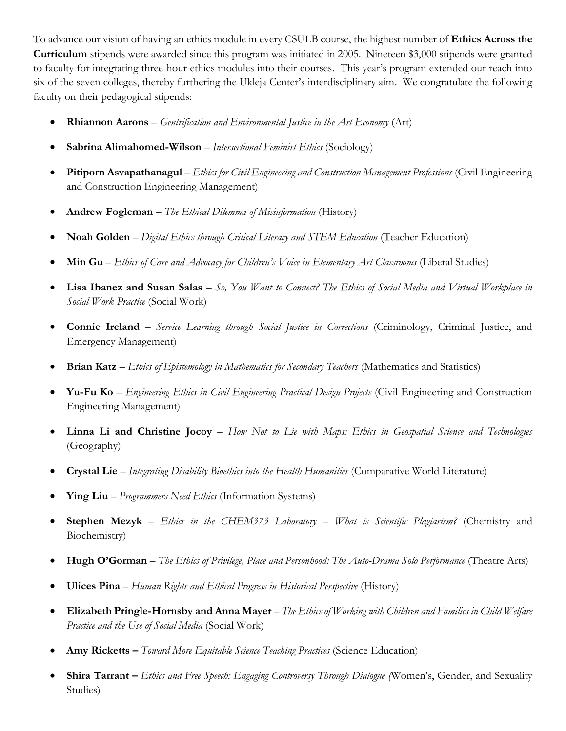To advance our vision of having an ethics module in every CSULB course, the highest number of **Ethics Across the Curriculum** stipends were awarded since this program was initiated in 2005. Nineteen \$3,000 stipends were granted to faculty for integrating three-hour ethics modules into their courses. This year's program extended our reach into six of the seven colleges, thereby furthering the Ukleja Center's interdisciplinary aim. We congratulate the following faculty on their pedagogical stipends:

- **Rhiannon Aarons** *Gentrification and Environmental Justice in the Art Economy* (Art)
- **Sabrina Alimahomed-Wilson** *Intersectional Feminist Ethics* (Sociology)
- **Pitiporn Asvapathanagul** *Ethics for Civil Engineering and Construction Management Professions* (Civil Engineering and Construction Engineering Management)
- **Andrew Fogleman** *The Ethical Dilemma of Misinformation* (History)
- **Noah Golden** *Digital Ethics through Critical Literacy and STEM Education* (Teacher Education)
- **Min Gu** *Ethics of Care and Advocacy for Children's Voice in Elementary Art Classrooms* (Liberal Studies)
- **Lisa Ibanez and Susan Salas** *So, You Want to Connect? The Ethics of Social Media and Virtual Workplace in Social Work Practice* (Social Work)
- **Connie Ireland** *Service Learning through Social Justice in Corrections* (Criminology, Criminal Justice, and Emergency Management)
- **Brian Katz** *Ethics of Epistemology in Mathematics for Secondary Teachers* (Mathematics and Statistics)
- **Yu-Fu Ko** *Engineering Ethics in Civil Engineering Practical Design Projects* (Civil Engineering and Construction Engineering Management)
- **Linna Li and Christine Jocoy** *How Not to Lie with Maps: Ethics in Geospatial Science and Technologies*  (Geography)
- **Crystal Lie** *Integrating Disability Bioethics into the Health Humanities* (Comparative World Literature)
- **Ying Liu** *Programmers Need Ethics* (Information Systems)
- **Stephen Mezyk** *Ethics in the CHEM373 Laboratory – What is Scientific Plagiarism?* (Chemistry and Biochemistry)
- **Hugh O'Gorman** *The Ethics of Privilege, Place and Personhood: The Auto-Drama Solo Performance* (Theatre Arts)
- **Ulices Pina** *Human Rights and Ethical Progress in Historical Perspective* (History)
- **Elizabeth Pringle-Hornsby and Anna Mayer**  *The Ethics of Working with Children and Families in Child Welfare Practice and the Use of Social Media* (Social Work)
- **Amy Ricketts –** *Toward More Equitable Science Teaching Practices* (Science Education)
- **Shira Tarrant –** *Ethics and Free Speech: Engaging Controversy Through Dialogue (*Women's, Gender, and Sexuality Studies)